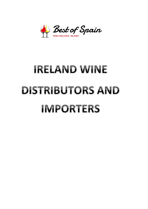

# **IRELAND WINE DISTRIBUTORS AND IMPORTERS**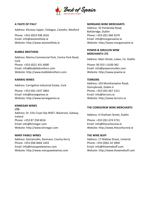

Address: Kilcasey Upper, Clologue, Camolin, Wexford Address: 35 Pembroke Road,

Phone: +353 (0)53 938 2016 Phone: +353 (0)1 660 3374 Email: info@atasteofitaly.ie Email: info@morganswine.ie

Address: Marina Commercial Park, Centre Park Road, Address: Main Bohmercian Park, Control Park Rodd, Address: Main Street, Lukan, Co. Dublin Cork Phone: +353 (0)21 431 6000 Phone: 00 353 1 6100 362 Email: info@bubblebrothers.com Email: info@powersmullen.com Website: http://www.bubblebrothers.com Website: http://www.pswine.ie

# **KARWIG WINES TERROIRS**

Phone: +353 (0)2 1437 2864 Phone: +353 (0)1 667 1311 Email: info@karwigwines.ie Email: info@terroirs.ie Website: http://www.karwigwines.ie Website: http://www.terroirs.ie

# **KINNEGAR WINES**

**LTD LTD** Address: Dr. Eilis Cryan Dip WSET, Blackrock, Galway, Ireland Ireland Controller Controller Controller Address: 4 Chatham Street, Dublin Phone: +353 87 258 6016 Phone: +353 (0)1 674 5731 Email: eilis@kinnegar.com Email: info@thecorkscrew.ie Website: http://www.kinnegar.com Website: http://www.thecorkscrew.ie

**MARY PAWLE WINES THE WINE BUFF** Address: Gortamullin, Kenmare, County Kerry **Address: 17 Mallow Street, Limerick** Phone: +353 (0)6 4664 1443 Phone: +353 (0)61 42 3904 Email: info@marypawlewines.com Email: info@thewinebuff.com Website: http://www.marypawlewines.com Website: http://www.thewinebuff.com

# **A TASTE OF ITALY MORGANS WINE MERCHANTS**

Ballsbridge, Dublin Website: http://www.atasteofitaly.ie Website: http://www.morganswine.ie

# **BUBBLE BROTHERS POWER & SMULLEN WINE MERCHANTS LTD**

Address: Carrigaline Industrial Estate, Cork Address: 103 Morehampton Road, Donnybrook, Dublin 4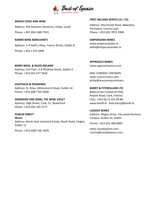

Phone: +353 (0)4 1685 7931 Phone: +353 (0)5 7875 7000

**BANIM WINE MERCHANTS AMPERSAND WINES** Address: 1-4 Swift's Alley, Francis Street, Dublin 8 www.ampesandsales.ie -

Phone: +353 1 473 5999

**BERRY BROS. & RUDD IRELAND WWW.approachwines.com** Address: 3rd Floor, 6-8 Wicklow Street, Dublin 2 Phone: +353 (0)1 677 3444 MAC CORMAIC VINTNERS

**CHATEAUX & DOMAINES** Address: St. Ritas, Whitechurch Road, Dublin 14 **BARRY & FITZWILLIAM LTD** Phone: +353 (0)8 7787 0030 Ballycurreen Industrial Park,

# **DENNISON FINE WINE; THE WINE VAULT** (Tel): +353 (0) 21 432 09 00

Address: High Street, Cork, Co. Waterford www.bandf.ie - kate.barry@bandf.ie Phone: +353 (0)5 185 3777

**DUBLIN DIRECT Wines** Address: North Park Industrial Estate, North Road, Finglas, Phone: +353 (0)1 466 8900<br>Dublin 11

# **ARDOA FOOD AND WINE FIRST IRELAND SPIRITS CO. LTD.**

Address: Old Dawsons Demesne, Ardee, Louth Address: Mountrath Road, Abbeyleix, Portlaoise, County Laois

willie@ampersandsales.ie

**APPROACH WINES**

www.maccormaics.com philip@maccormaicvintners

Airport Road, Cork, Ireland.

# **CASSIDY WINES**

Address: Magna Drive, City wood Business Campus, Dublin 24, Dublin

Phone: +353 (0)87 635 2876 www.cassidywines.com cclarke@cassidywines.com;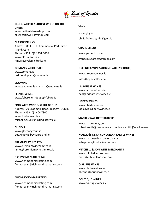

**CELTIC WHISKEY SHOP & WINES ON THE GREEN** *GLUG* **GLUG** www.celticwhiskeyshop.com -

**CLASSIC DRINKS** Address: Unit 5, OC Commercial Park, Little Island, Cork **GRAPE CIRCUS** Phone: +353 (0)2 1451 0066 www.grapecircus.ie www.classicdrinks.ie www.classicdrinks.ie -<br>hmurray@classicdrinks.ie grapecircusorders@gmail.com

www.comans.ie redmond.gavin@comans.ie www.greenleawines.ie

**ENOWINE** www.enowine.ie - richard@enowine.ie **LA ROUSSE WINES**

**FEBVRE WINES** bcolgan@laroussewines.ie www.febvre.ie - kjudge@febvre.ie

**FINDLATER WINE & SPIRIT GROUP** www.libertywines.ie Address: 79 Broomhill Road, Tallaght, Dublin joe.coyle@libertywines.ie Phone: +353 (0)1 404 7300 www.findlaterws.ie michelle.osullivan@findlaterws.ie **MACKENWAY DISTRIBUTORS**

www.gleesongroup.ie

**PREMIUM WINES LTD Achapman@thehaciendas.com** www.premiumwineslimited.ie

**RICHMOND MARKETING** matt@mitchellandson.com www.richmondmarketing.com fionaoregan@richmondmarketing.com **O'BRIENS WINES**

# **4RICHMOND MARKETING**

www.richmondmarketing.com www.boutiquewines.ie fionaoregan@richmondmarketing.com

www.certicwinskeyshop.com www.glug.ie<br>ally@celticwhiskeyshop.com philip@glug.ie;info@glug.ie

## **COMAN'S WHOLESALE GREENLEA WINES (BOYNE VALLEY GROUP)**

info@boynevalley.com

www.laroussefoods.ie

**LIBERTY WINES**

www.mackenway.com **GILBEYS** robert.smith@mackenway.com; bren.smith@mackenway.com

des.king@gilbeysofireland.ie **MARQUÉS DE LA CONCORDIA FAMILY WINES** www.marquesdelaconcordia.com

james@premiumwineslimited.ie **MITCHELL & SON WINE MERCHANTS** www.mitchellandson.com

> www.obrienswines.ie akeane@obrienswines.ie

 **BOUTIQUE WINES**